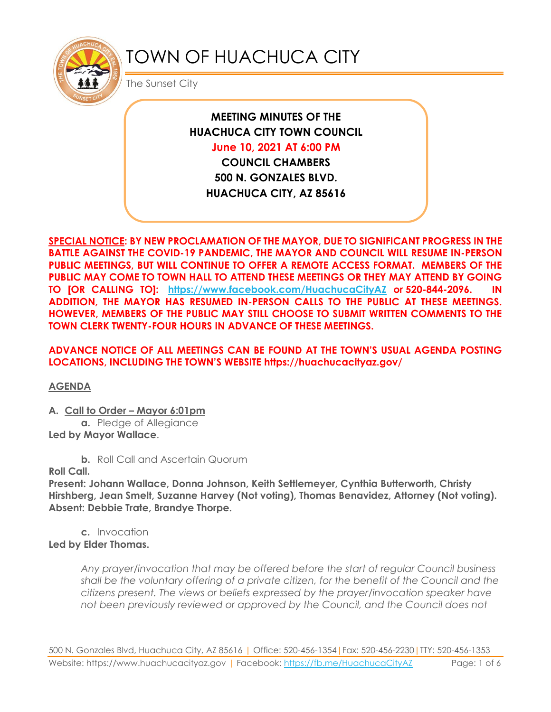

# TOWN OF HUACHUCA CITY

The Sunset City

**MEETING MINUTES OF THE HUACHUCA CITY TOWN COUNCIL** 

**June 10, 2021 AT 6:00 PM**

**COUNCIL CHAMBERS 500 N. GONZALES BLVD. HUACHUCA CITY, AZ 85616**

**SPECIAL NOTICE: BY NEW PROCLAMATION OF THE MAYOR, DUE TO SIGNIFICANT PROGRESS IN THE BATTLE AGAINST THE COVID-19 PANDEMIC, THE MAYOR AND COUNCIL WILL RESUME IN-PERSON PUBLIC MEETINGS, BUT WILL CONTINUE TO OFFER A REMOTE ACCESS FORMAT. MEMBERS OF THE PUBLIC MAY COME TO TOWN HALL TO ATTEND THESE MEETINGS OR THEY MAY ATTEND BY GOING TO [OR CALLING TO]: <https://www.facebook.com/HuachucaCityAZ> or 520-844-2096. IN ADDITION, THE MAYOR HAS RESUMED IN-PERSON CALLS TO THE PUBLIC AT THESE MEETINGS. HOWEVER, MEMBERS OF THE PUBLIC MAY STILL CHOOSE TO SUBMIT WRITTEN COMMENTS TO THE TOWN CLERK TWENTY-FOUR HOURS IN ADVANCE OF THESE MEETINGS.** 

**ADVANCE NOTICE OF ALL MEETINGS CAN BE FOUND AT THE TOWN'S USUAL AGENDA POSTING LOCATIONS, INCLUDING THE TOWN'S WEBSITE https://huachucacityaz.gov/**

**AGENDA**

**A. Call to Order – Mayor 6:01pm**

**a.** Pledge of Allegiance **Led by Mayor Wallace**.

**b.** Roll Call and Ascertain Quorum

**Roll Call.**

**Present: Johann Wallace, Donna Johnson, Keith Settlemeyer, Cynthia Butterworth, Christy Hirshberg, Jean Smelt, Suzanne Harvey (Not voting), Thomas Benavidez, Attorney (Not voting). Absent: Debbie Trate, Brandye Thorpe.**

**c.** Invocation **Led by Elder Thomas.**

> *Any prayer/invocation that may be offered before the start of regular Council business shall be the voluntary offering of a private citizen, for the benefit of the Council and the citizens present. The views or beliefs expressed by the prayer/invocation speaker have not been previously reviewed or approved by the Council, and the Council does not*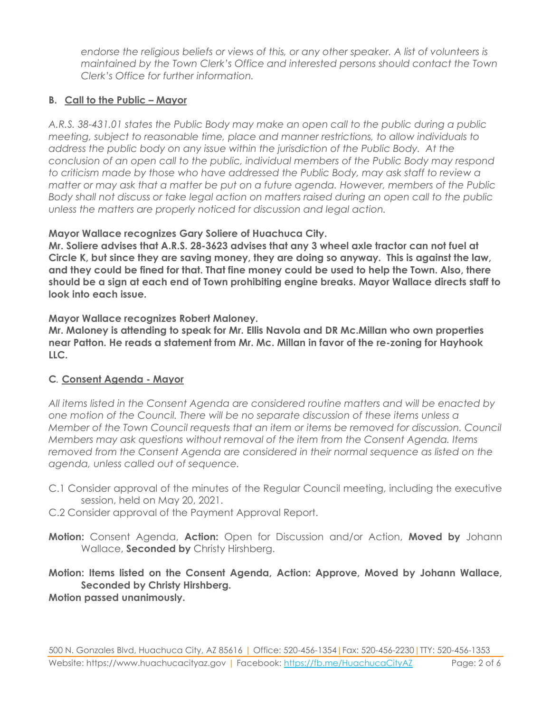*endorse the religious beliefs or views of this, or any other speaker. A list of volunteers is maintained by the Town Clerk's Office and interested persons should contact the Town Clerk's Office for further information.*

# **B. Call to the Public – Mayor**

*A.R.S. 38-431.01 states the Public Body may make an open call to the public during a public meeting, subject to reasonable time, place and manner restrictions, to allow individuals to address the public body on any issue within the jurisdiction of the Public Body. At the conclusion of an open call to the public, individual members of the Public Body may respond to criticism made by those who have addressed the Public Body, may ask staff to review a matter or may ask that a matter be put on a future agenda. However, members of the Public Body shall not discuss or take legal action on matters raised during an open call to the public unless the matters are properly noticed for discussion and legal action.*

#### **Mayor Wallace recognizes Gary Soliere of Huachuca City.**

**Mr. Soliere advises that A.R.S. 28-3623 advises that any 3 wheel axle tractor can not fuel at Circle K, but since they are saving money, they are doing so anyway. This is against the law, and they could be fined for that. That fine money could be used to help the Town. Also, there should be a sign at each end of Town prohibiting engine breaks. Mayor Wallace directs staff to look into each issue.** 

**Mayor Wallace recognizes Robert Maloney.**

**Mr. Maloney is attending to speak for Mr. Ellis Navola and DR Mc.Millan who own properties near Patton. He reads a statement from Mr. Mc. Millan in favor of the re-zoning for Hayhook LLC.**

#### **C***.* **Consent Agenda - Mayor**

*All items listed in the Consent Agenda are considered routine matters and will be enacted by one motion of the Council. There will be no separate discussion of these items unless a Member of the Town Council requests that an item or items be removed for discussion. Council Members may ask questions without removal of the item from the Consent Agenda. Items removed from the Consent Agenda are considered in their normal sequence as listed on the agenda, unless called out of sequence.*

- C.1 Consider approval of the minutes of the Regular Council meeting, including the executive session, held on May 20, 2021.
- C.2 Consider approval of the Payment Approval Report.
- **Motion:** Consent Agenda, **Action:** Open for Discussion and/or Action, **Moved by** Johann Wallace, **Seconded by** Christy Hirshberg.

**Motion: Items listed on the Consent Agenda, Action: Approve, Moved by Johann Wallace, Seconded by Christy Hirshberg. Motion passed unanimously.**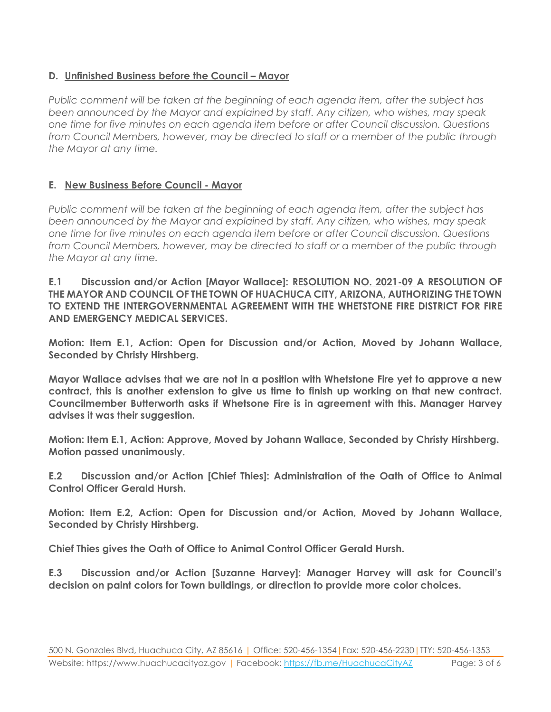# **D. Unfinished Business before the Council – Mayor**

*Public comment will be taken at the beginning of each agenda item, after the subject has been announced by the Mayor and explained by staff. Any citizen, who wishes, may speak one time for five minutes on each agenda item before or after Council discussion. Questions from Council Members, however, may be directed to staff or a member of the public through the Mayor at any time.*

# **E. New Business Before Council - Mayor**

*Public comment will be taken at the beginning of each agenda item, after the subject has been announced by the Mayor and explained by staff. Any citizen, who wishes, may speak one time for five minutes on each agenda item before or after Council discussion. Questions from Council Members, however, may be directed to staff or a member of the public through the Mayor at any time.*

**E.1 Discussion and/or Action [Mayor Wallace]: RESOLUTION NO. 2021-09 A RESOLUTION OF THE MAYOR AND COUNCIL OF THE TOWN OF HUACHUCA CITY, ARIZONA, AUTHORIZING THE TOWN TO EXTEND THE INTERGOVERNMENTAL AGREEMENT WITH THE WHETSTONE FIRE DISTRICT FOR FIRE AND EMERGENCY MEDICAL SERVICES.**

**Motion: Item E.1, Action: Open for Discussion and/or Action, Moved by Johann Wallace, Seconded by Christy Hirshberg.**

**Mayor Wallace advises that we are not in a position with Whetstone Fire yet to approve a new contract, this is another extension to give us time to finish up working on that new contract. Councilmember Butterworth asks if Whetsone Fire is in agreement with this. Manager Harvey advises it was their suggestion.**

**Motion: Item E.1, Action: Approve, Moved by Johann Wallace, Seconded by Christy Hirshberg. Motion passed unanimously.**

**E.2 Discussion and/or Action [Chief Thies]: Administration of the Oath of Office to Animal Control Officer Gerald Hursh.** 

**Motion: Item E.2, Action: Open for Discussion and/or Action, Moved by Johann Wallace, Seconded by Christy Hirshberg.**

**Chief Thies gives the Oath of Office to Animal Control Officer Gerald Hursh.** 

**E.3 Discussion and/or Action [Suzanne Harvey]: Manager Harvey will ask for Council's decision on paint colors for Town buildings, or direction to provide more color choices.**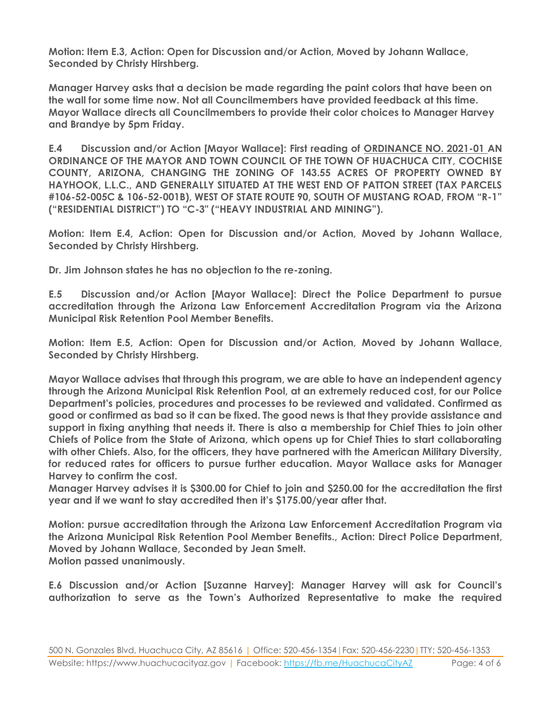**Motion: Item E.3, Action: Open for Discussion and/or Action, Moved by Johann Wallace, Seconded by Christy Hirshberg.**

**Manager Harvey asks that a decision be made regarding the paint colors that have been on the wall for some time now. Not all Councilmembers have provided feedback at this time. Mayor Wallace directs all Councilmembers to provide their color choices to Manager Harvey and Brandye by 5pm Friday.** 

**E.4 Discussion and/or Action [Mayor Wallace]: First reading of ORDINANCE NO. 2021-01 AN ORDINANCE OF THE MAYOR AND TOWN COUNCIL OF THE TOWN OF HUACHUCA CITY, COCHISE COUNTY, ARIZONA, CHANGING THE ZONING OF 143.55 ACRES OF PROPERTY OWNED BY HAYHOOK, L.L.C., AND GENERALLY SITUATED AT THE WEST END OF PATTON STREET (TAX PARCELS #106-52-005C & 106-52-001B), WEST OF STATE ROUTE 90, SOUTH OF MUSTANG ROAD, FROM "R-1" ("RESIDENTIAL DISTRICT") TO "C-3" ("HEAVY INDUSTRIAL AND MINING").**

**Motion: Item E.4, Action: Open for Discussion and/or Action, Moved by Johann Wallace, Seconded by Christy Hirshberg.**

**Dr. Jim Johnson states he has no objection to the re-zoning.**

**E.5 Discussion and/or Action [Mayor Wallace]: Direct the Police Department to pursue accreditation through the Arizona Law Enforcement Accreditation Program via the Arizona Municipal Risk Retention Pool Member Benefits.**

**Motion: Item E.5, Action: Open for Discussion and/or Action, Moved by Johann Wallace, Seconded by Christy Hirshberg.**

**Mayor Wallace advises that through this program, we are able to have an independent agency through the Arizona Municipal Risk Retention Pool, at an extremely reduced cost, for our Police Department's policies, procedures and processes to be reviewed and validated. Confirmed as good or confirmed as bad so it can be fixed. The good news is that they provide assistance and support in fixing anything that needs it. There is also a membership for Chief Thies to join other Chiefs of Police from the State of Arizona, which opens up for Chief Thies to start collaborating with other Chiefs. Also, for the officers, they have partnered with the American Military Diversity, for reduced rates for officers to pursue further education. Mayor Wallace asks for Manager Harvey to confirm the cost.**

**Manager Harvey advises it is \$300.00 for Chief to join and \$250.00 for the accreditation the first year and if we want to stay accredited then it's \$175.00/year after that.** 

**Motion: pursue accreditation through the Arizona Law Enforcement Accreditation Program via the Arizona Municipal Risk Retention Pool Member Benefits., Action: Direct Police Department, Moved by Johann Wallace, Seconded by Jean Smelt. Motion passed unanimously.**

**E.6 Discussion and/or Action [Suzanne Harvey]: Manager Harvey will ask for Council's authorization to serve as the Town's Authorized Representative to make the required**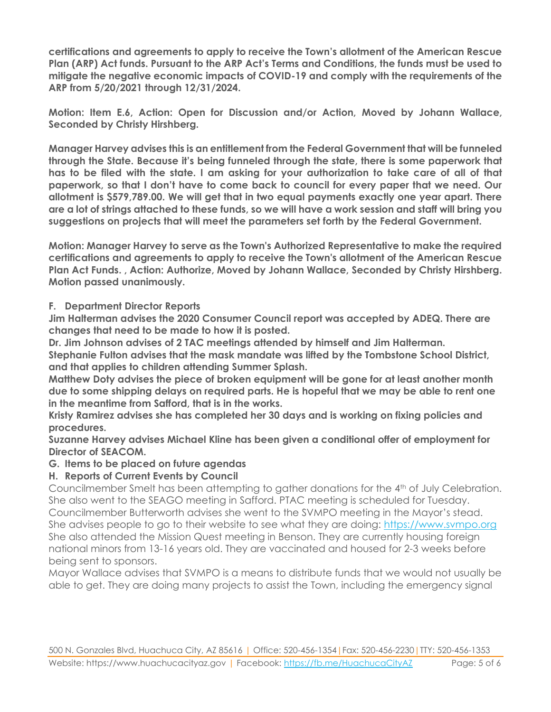**certifications and agreements to apply to receive the Town's allotment of the American Rescue Plan (ARP) Act funds. Pursuant to the ARP Act's Terms and Conditions, the funds must be used to mitigate the negative economic impacts of COVID-19 and comply with the requirements of the ARP from 5/20/2021 through 12/31/2024.**

**Motion: Item E.6, Action: Open for Discussion and/or Action, Moved by Johann Wallace, Seconded by Christy Hirshberg.**

**Manager Harvey advises this is an entitlement from the Federal Government that will be funneled through the State. Because it's being funneled through the state, there is some paperwork that has to be filed with the state. I am asking for your authorization to take care of all of that paperwork, so that I don't have to come back to council for every paper that we need. Our allotment is \$579,789.00. We will get that in two equal payments exactly one year apart. There are a lot of strings attached to these funds, so we will have a work session and staff will bring you suggestions on projects that will meet the parameters set forth by the Federal Government.** 

**Motion: Manager Harvey to serve as the Town's Authorized Representative to make the required certifications and agreements to apply to receive the Town's allotment of the American Rescue Plan Act Funds. , Action: Authorize, Moved by Johann Wallace, Seconded by Christy Hirshberg. Motion passed unanimously.**

#### **F. Department Director Reports**

**Jim Halterman advises the 2020 Consumer Council report was accepted by ADEQ. There are changes that need to be made to how it is posted.** 

**Dr. Jim Johnson advises of 2 TAC meetings attended by himself and Jim Halterman.** 

**Stephanie Fulton advises that the mask mandate was lifted by the Tombstone School District, and that applies to children attending Summer Splash.** 

**Matthew Doty advises the piece of broken equipment will be gone for at least another month due to some shipping delays on required parts. He is hopeful that we may be able to rent one in the meantime from Safford, that is in the works.** 

**Kristy Ramirez advises she has completed her 30 days and is working on fixing policies and procedures.** 

**Suzanne Harvey advises Michael Kline has been given a conditional offer of employment for Director of SEACOM.** 

#### **G. Items to be placed on future agendas**

# **H. Reports of Current Events by Council**

Councilmember Smelt has been attempting to gather donations for the 4th of July Celebration. She also went to the SEAGO meeting in Safford. PTAC meeting is scheduled for Tuesday. Councilmember Butterworth advises she went to the SVMPO meeting in the Mayor's stead. She advises people to go to their website to see what they are doing: [https://www.svmpo.org](https://www.svmpo.org/) She also attended the Mission Quest meeting in Benson. They are currently housing foreign national minors from 13-16 years old. They are vaccinated and housed for 2-3 weeks before being sent to sponsors.

Mayor Wallace advises that SVMPO is a means to distribute funds that we would not usually be able to get. They are doing many projects to assist the Town, including the emergency signal